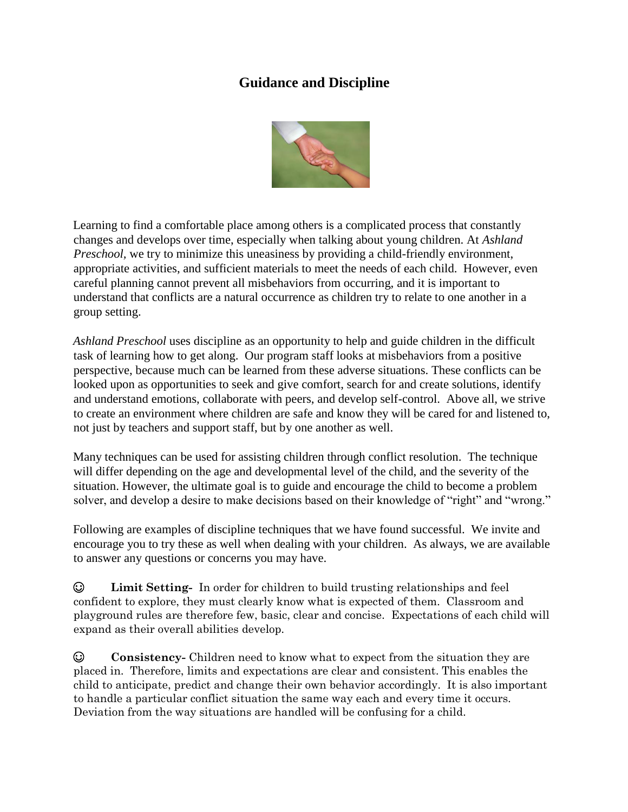## **Guidance and Discipline**



Learning to find a comfortable place among others is a complicated process that constantly changes and develops over time, especially when talking about young children. At *Ashland Preschool*, we try to minimize this uneasiness by providing a child-friendly environment, appropriate activities, and sufficient materials to meet the needs of each child. However, even careful planning cannot prevent all misbehaviors from occurring, and it is important to understand that conflicts are a natural occurrence as children try to relate to one another in a group setting.

*Ashland Preschool* uses discipline as an opportunity to help and guide children in the difficult task of learning how to get along. Our program staff looks at misbehaviors from a positive perspective, because much can be learned from these adverse situations. These conflicts can be looked upon as opportunities to seek and give comfort, search for and create solutions, identify and understand emotions, collaborate with peers, and develop self-control. Above all, we strive to create an environment where children are safe and know they will be cared for and listened to, not just by teachers and support staff, but by one another as well.

Many techniques can be used for assisting children through conflict resolution. The technique will differ depending on the age and developmental level of the child, and the severity of the situation. However, the ultimate goal is to guide and encourage the child to become a problem solver, and develop a desire to make decisions based on their knowledge of "right" and "wrong."

Following are examples of discipline techniques that we have found successful. We invite and encourage you to try these as well when dealing with your children. As always, we are available to answer any questions or concerns you may have.

☺ **Limit Setting-** In order for children to build trusting relationships and feel confident to explore, they must clearly know what is expected of them. Classroom and playground rules are therefore few, basic, clear and concise. Expectations of each child will expand as their overall abilities develop.

☺ **Consistency-** Children need to know what to expect from the situation they are placed in. Therefore, limits and expectations are clear and consistent. This enables the child to anticipate, predict and change their own behavior accordingly. It is also important to handle a particular conflict situation the same way each and every time it occurs. Deviation from the way situations are handled will be confusing for a child.